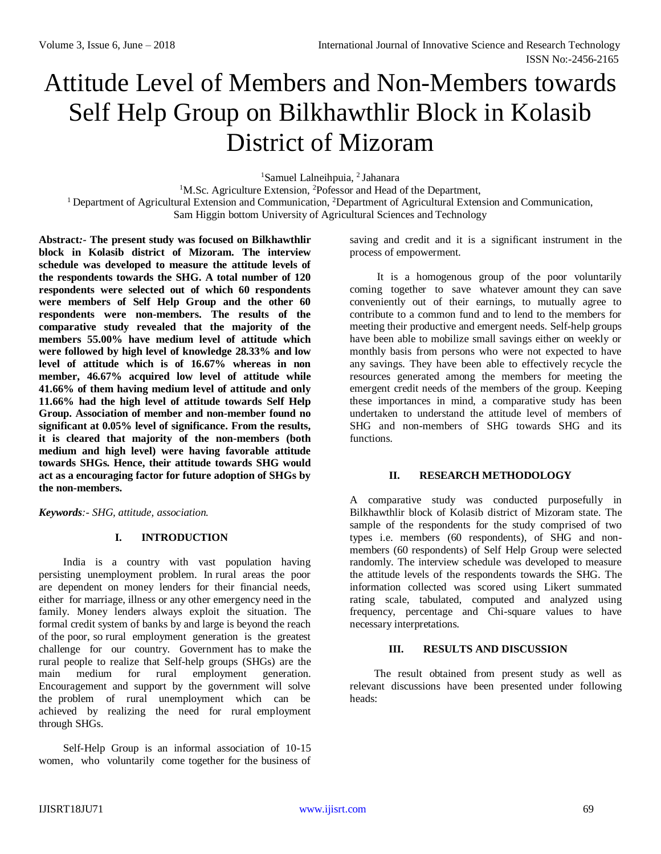# Attitude Level of Members and Non-Members towards Self Help Group on Bilkhawthlir Block in Kolasib District of Mizoram

<sup>1</sup>Samuel Lalneihpuia, <sup>2</sup> Jahanara

<sup>1</sup>M.Sc. Agriculture Extension, <sup>2</sup>Pofessor and Head of the Department,

<sup>1</sup> Department of Agricultural Extension and Communication, <sup>2</sup>Department of Agricultural Extension and Communication, Sam Higgin bottom University of Agricultural Sciences and Technology

**Abstract***:-* **The present study was focused on Bilkhawthlir block in Kolasib district of Mizoram. The interview schedule was developed to measure the attitude levels of the respondents towards the SHG. A total number of 120 respondents were selected out of which 60 respondents were members of Self Help Group and the other 60 respondents were non-members. The results of the comparative study revealed that the majority of the members 55.00% have medium level of attitude which were followed by high level of knowledge 28.33% and low level of attitude which is of 16.67% whereas in non member, 46.67% acquired low level of attitude while 41.66% of them having medium level of attitude and only 11.66% had the high level of attitude towards Self Help Group. Association of member and non-member found no significant at 0.05% level of significance. From the results, it is cleared that majority of the non-members (both medium and high level) were having favorable attitude towards SHGs. Hence, their attitude towards SHG would act as a encouraging factor for future adoption of SHGs by the non-members.**

*Keywords:- SHG, attitude, association.*

# **I. INTRODUCTION**

India is a country with vast population having persisting unemployment problem. In rural areas the poor are dependent on money lenders for their financial needs, either for marriage, illness or any other emergency need in the family. Money lenders always exploit the situation. The formal credit system of banks by and large is beyond the reach of the poor, so rural employment generation is the greatest challenge for our country. Government has to make the rural people to realize that Self-help groups (SHGs) are the main medium for rural employment generation. Encouragement and support by the government will solve the problem of rural unemployment which can be achieved by realizing the need for rural employment through SHGs.

Self-Help Group is an informal association of 10-15 women, who voluntarily come together for the business of saving and credit and it is a significant instrument in the process of empowerment.

It is a homogenous group of the poor voluntarily coming together to save whatever amount they can save conveniently out of their earnings, to mutually agree to contribute to a common fund and to lend to the members for meeting their productive and emergent needs. Self-help groups have been able to mobilize small savings either on weekly or monthly basis from persons who were not expected to have any savings. They have been able to effectively recycle the resources generated among the members for meeting the emergent credit needs of the members of the group. Keeping these importances in mind, a comparative study has been undertaken to understand the attitude level of members of SHG and non-members of SHG towards SHG and its functions.

### **II. RESEARCH METHODOLOGY**

A comparative study was conducted purposefully in Bilkhawthlir block of Kolasib district of Mizoram state. The sample of the respondents for the study comprised of two types i.e. members (60 respondents), of SHG and nonmembers (60 respondents) of Self Help Group were selected randomly. The interview schedule was developed to measure the attitude levels of the respondents towards the SHG. The information collected was scored using Likert summated rating scale, tabulated, computed and analyzed using frequency, percentage and Chi-square values to have necessary interpretations.

# **III. RESULTS AND DISCUSSION**

The result obtained from present study as well as relevant discussions have been presented under following heads: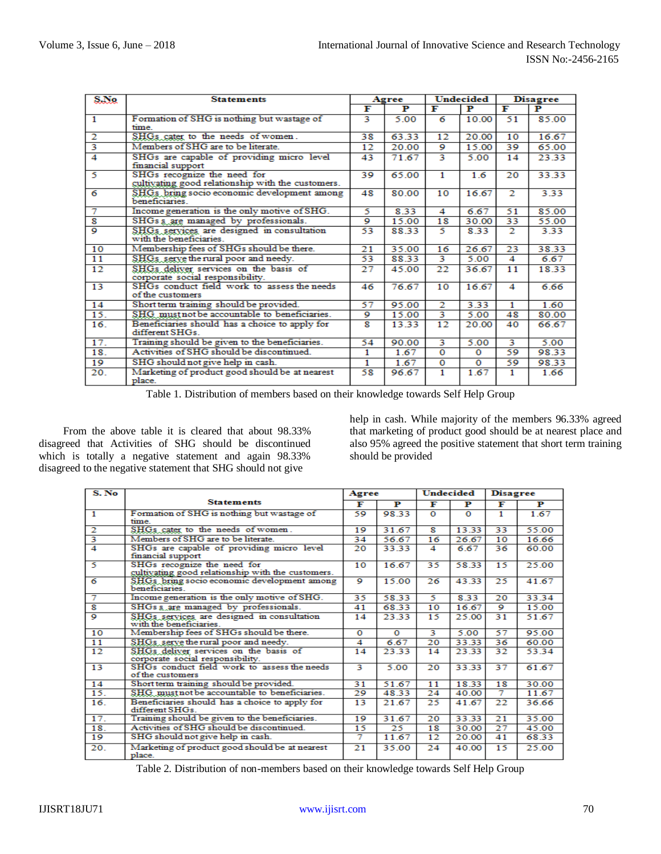| S.No                    | <b>Statements</b>                                                                | Agree |       |             |       | Undecided<br><b>Disagree</b> |       |
|-------------------------|----------------------------------------------------------------------------------|-------|-------|-------------|-------|------------------------------|-------|
|                         |                                                                                  | F     | P     | F           | P     | F                            | Р     |
| 1                       | Formation of SHG is nothing but wastage of<br>time                               | 3     | 5.00  | 6           | 10.00 | 51                           | 85.00 |
| $\mathbf{2}$            | SHGs cater to the needs of women.                                                | 38    | 63.33 | 12          | 20.00 | 10                           | 16.67 |
| $\overline{\mathbf{3}}$ | Members of SHG are to be literate.                                               | 12    | 20.00 | 9           | 15.00 | 39                           | 65.00 |
| $\overline{4}$          | SHGs are capable of providing micro level<br>financial support                   | 43    | 71.67 | 3           | 5.00  | 14                           | 23.33 |
| 5                       | SHGs recognize the need for<br>cultivating good relationship with the customers. | 39    | 65.00 | 1           | 16    | 20                           | 33.33 |
| 6                       | SHGs bring socio economic development among<br>beneficiaries                     | 48    | 80.00 | 10          | 16.67 | 2                            | 3.33  |
| 7                       | Income generation is the only motive of SHG.                                     | 5     | 8.33  | 4           | 6.67  | 51                           | 85.00 |
| $\overline{\mathbf{g}}$ | SHGs s are managed by professionals.                                             | ۰     | 15.00 | 18          | 30.00 | 33                           | 55.00 |
| $\circ$                 | SHGs services are designed in consultation<br>with the beneficiaries.            | 53    | 8833  | 5           | 8.33  | 2.                           | 3.33  |
| 10                      | Membership fees of SHGs should be there.                                         | 21    | 35.00 | 16          | 26.67 | 23                           | 38.33 |
| 11                      | SHGs serve the rural poor and needy.                                             | 53    | 8833  | 3           | 5.00  | 4                            | 6.67  |
| 12                      | SHGs deliver services on the basis of<br>corporate social responsibility.        | 27    | 45.00 | 22          | 36.67 | 11                           | 18.33 |
| 13                      | SHGs conduct field work to assess the needs<br>of the customers                  | 46    | 76.67 | 10          | 16.67 | 4                            | 6.66  |
| 14                      | Short term training should be provided.                                          | 57    | 95.00 | 2           | 3.33  | 1.                           | 1.60  |
| 15.                     | SHG must not be accountable to beneficiaries.                                    | 9     | 15.00 | 3           | 5.00  | 48                           | 80.00 |
| 16.                     | Beneficiaries should has a choice to apply for<br>different SHGs                 | R     | 13.33 | 12          | 20.00 | 40                           | 66.67 |
| 17.                     | Training should be given to the beneficiaries.                                   | 54    | 90.00 | 3           | 5.00  | 3                            | 5.00  |
| 18.                     | Activities of SHG should be discontinued.                                        | 1     | 1.67  | $\mathbf 0$ | 0     | 59                           | 9833  |
| 19                      | SHG should not give help in cash.                                                | 1     | 1.67  | 0           | o     | 59                           | 98.33 |
| 20.                     | Marketing of product good should be at nearest<br>place.                         | 58    | 96.67 | 1           | 1.67  | 1                            | 1.66  |

Table 1. Distribution of members based on their knowledge towards Self Help Group

From the above table it is cleared that about 98.33% disagreed that Activities of SHG should be discontinued which is totally a negative statement and again 98.33% disagreed to the negative statement that SHG should not give

help in cash. While majority of the members 96.33% agreed that marketing of product good should be at nearest place and also 95% agreed the positive statement that short term training should be provided

| S. No                   |                                                                                  | Agree          |          | <b>Undecided</b> |          | <b>Disagree</b> |       |
|-------------------------|----------------------------------------------------------------------------------|----------------|----------|------------------|----------|-----------------|-------|
|                         | <b>Statements</b>                                                                | F              | Р        | F                | Р        | F               | Р     |
| $\overline{1}$          | Formation of SHG is nothing but wastage of<br>time                               | 59             | 98.33    | $\Omega$         | $\Omega$ | 1               | 1.67  |
| $\overline{2}$          | SHGs cater to the needs of women.                                                | 19             | 31.67    | 8                | 13.33    | 33              | 55.00 |
| $\overline{\mathbf{3}}$ | Members of SHG are to be literate.                                               | 34             | 56.67    | 16               | 26.67    | 10              | 16.66 |
| $\overline{4}$          | SHGs are capable of providing micro level<br>financial support                   | 20             | 33.33    | 4                | 6.67     | 36              | 60.00 |
| 5                       | SHGs recognize the need for<br>cultivating good relationship with the customers. | 10             | 16.67    | 35               | 58.33    | 15              | 25.00 |
| $\overline{6}$          | SHGs bring socio economic development among<br>heneficiaries                     | $\overline{9}$ | 15.00    | 26               | 43.33    | 25              | 41.67 |
| 7                       | Income generation is the only motive of SHG.                                     | 35             | 5833     | 5                | 8.33     | 20              | 33.34 |
| $\overline{\mathbf{g}}$ | SHGs s are managed by professionals.                                             | 41             | 68.33    | 10               | 16.67    | ۰               | 15.00 |
| $\circ$                 | SHGs services are designed in consultation<br>with the beneficiaries.            | 14             | 23.33    | 15               | 25.00    | 31              | 51.67 |
| 10                      | Membership fees of SHGs should be there.                                         | $\Omega$       | $\Omega$ | 3                | 5.00     | 57              | 95.00 |
| 11                      | SHGs serve the rural poor and needy.                                             | 4              | 6.67     | 20               | 33.33    | 36              | 60.00 |
| 12                      | SHGs deliver services on the basis of<br>corporate social responsibility.        | 14             | 23.33    | 14               | 23.33    | 32              | 53.34 |
| 13                      | SHGs conduct field work to assess the needs<br>of the customers                  | 3              | 5.00     | 20               | 33.33    | 37              | 61.67 |
| 14                      | Short term training should be provided.                                          | 31             | 51.67    | 11               | 18.33    | 18              | 30.00 |
| 15.                     | SHG must not be accountable to beneficiaries.                                    | 29             | 48.33    | 24               | 40.00    | 7               | 11.67 |
| 16.                     | Beneficiaries should has a choice to apply for<br>different SHGs.                | 13             | 21.67    | 25               | 41.67    | 22              | 36.66 |
| 17.                     | Training should be given to the beneficiaries.                                   | 19             | 31.67    | 20               | 33.33    | 21              | 35.00 |
| 18.                     | Activities of SHG should be discontinued.                                        | 15             | 25       | 18               | 30.00    | 27              | 45.00 |
| 19                      | SHG should not give help in cash.                                                | 7              | 11.67    | 12               | 20.00    | 41              | 68.33 |
| 20.                     | Marketing of product good should be at nearest<br>place.                         | 21             | 35.00    | 24               | 40.00    | 15              | 25.00 |

Table 2. Distribution of non-members based on their knowledge towards Self Help Group